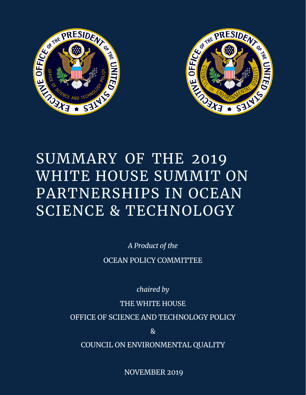



# SUMMARY OF THE 2019 WHITE HOUSE SUMMIT ON PARTNERSHIPS IN OCEAN SCIENCE & TECHNOLOGY

*A Product of the* OCEAN POLICY COMMITTEE

*chaired by*

THE WHITE HOUSE

OFFICE OF SCIENCE AND TECHNOLOGY POLICY

 $\mathcal{R}_{I}$ 

0 COUNCIL ON ENVIRONMENTAL QUALITY

NOVEMBER 2019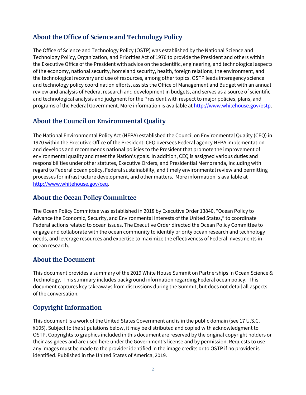#### **About the Office of Science and Technology Policy**

The Office of Science and Technology Policy (OSTP) was established by the National Science and Technology Policy, Organization, and Priorities Act of 1976 to provide the President and others within the Executive Office of the President with advice on the scientific, engineering, and technological aspects of the economy, national security, homeland security, health, foreign relations, the environment, and the technological recovery and use of resources, among other topics. OSTP leads interagency science and technology policy coordination efforts, assists the Office of Management and Budget with an annual review and analysis of Federal research and development in budgets, and serves as a source of scientific and technological analysis and judgment for the President with respect to major policies, plans, and programs of the Federal Government. More information is available at [http://www.whitehouse.gov/ostp.](http://www.whitehouse.gov/ostp)

#### **About the Council on Environmental Quality**

The National Environmental Policy Act (NEPA) established the Council on Environmental Quality (CEQ) in 1970 within the Executive Office of the President. CEQ oversees Federal agency NEPA implementation and develops and recommends national policies to the President that promote the improvement of environmental quality and meet the Nation's goals. In addition, CEQ is assigned various duties and responsibilities under other statutes, Executive Orders, and Presidential Memoranda, including with regard to Federal ocean policy, Federal sustainability, and timely environmental review and permitting processes for infrastructure development, and other matters. More information is available at [http://www.whitehouse.gov/ceq.](http://www.whitehouse.gov/ceq)

#### **About the Ocean Policy Committee**

The Ocean Policy Committee was established in 2018 by Executive Order 13840, "Ocean Policy to Advance the Economic, Security, and Environmental Interests of the United States," to coordinate Federal actions related to ocean issues. The Executive Order directed the Ocean Policy Committee to engage and collaborate with the ocean community to identify priority ocean research and technology needs, and leverage resources and expertise to maximize the effectiveness of Federal investments in ocean research.

#### **About the Document**

This document provides a summary of the 2019 White House Summit on Partnerships in Ocean Science & Technology. This summary includes background information regarding Federal ocean policy. This document captures key takeaways from discussions during the Summit, but does not detail all aspects of the conversation.

#### **Copyright Information**

This document is a work of the United States Government and is in the public domain (see 17 U.S.C. §105). Subject to the stipulations below, it may be distributed and copied with acknowledgment to OSTP. Copyrights to graphics included in this document are reserved by the original copyright holders or their assignees and are used here under the Government's license and by permission. Requests to use any images must be made to the provider identified in the image credits or to OSTP if no provider is identified. Published in the United States of America, 2019.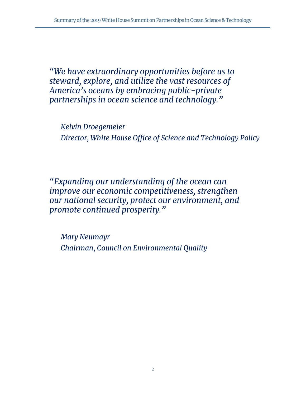*"We have extraordinary opportunities before us to steward, explore, and utilize the vast resources of America's oceans by embracing public-private partnerships in ocean science and technology."*

*Kelvin Droegemeier Director, White House Office of Science and Technology Policy*

*"Expanding our understanding of the ocean can improve our economic competitiveness, strengthen our national security, protect our environment, and promote continued prosperity."*

*Mary Neumayr Chairman, Council on Environmental Quality*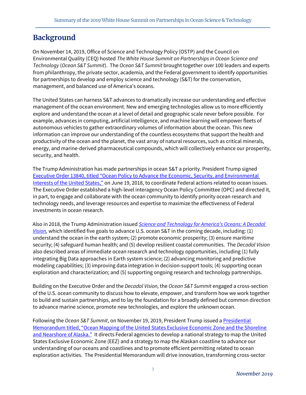## **Background**

On November 14, 2019, Office of Science and Technology Policy (OSTP) and the Council on Environmental Quality (CEQ) hosted *The White House Summit on Partnerships in Ocean Science and Technology* (*Ocean S&T Summit*). The *Ocean S&T Summit* brought together over 100 leaders and experts from philanthropy, the private sector, academia, and the Federal government to identify opportunities for partnerships to develop and employ science and technology (S&T) for the conservation, management, and balanced use of America's oceans.

The United States can harness S&T advances to dramatically increase our understanding and effective management of the ocean environment. New and emerging technologies allow us to more efficiently explore and understand the ocean at a level of detail and geographic scale never before possible. For example, advances in computing, artificial intelligence, and machine learning will empower fleets of autonomous vehicles to gather extraordinary volumes of information about the ocean. This new information can improve our understanding of the countless ecosystems that support the health and productivity of the ocean and the planet, the vast array of natural resources, such as critical minerals, energy, and marine-derived pharmaceutical compounds, which will collectively enhance our prosperity, security, and health.

The Trump Administration has made partnerships in ocean S&T a priority. President Trump signed [Executive Order 13840, titled "Ocean Policy to Advance the Economic, Security, and Environmental](https://www.whitehouse.gov/presidential-actions/executive-order-regarding-ocean-policy-advance-economic-security-environmental-interests-united-states/)  [Interests of the United States,"](https://www.whitehouse.gov/presidential-actions/executive-order-regarding-ocean-policy-advance-economic-security-environmental-interests-united-states/) on June 19, 2018, to coordinate Federal actions related to ocean issues. The Executive Order established a high-level interagency Ocean Policy Committee (OPC) and directed it, in part, to engage and collaborate with the ocean community to identify priority ocean research and technology needs, and leverage resources and expertise to maximize the effectiveness of Federal investments in ocean research.

Also in 2018, the Trump Administration issued *[Science and Technology for America's Oceans: A Decadal](https://www.whitehouse.gov/wp-content/uploads/2018/11/Science-and-Technology-for-Americas-Oceans-A-Decadal-Vision.pdf)  [Vision,](https://www.whitehouse.gov/wp-content/uploads/2018/11/Science-and-Technology-for-Americas-Oceans-A-Decadal-Vision.pdf)* which identified five goals to advance U.S. ocean S&T in the coming decade, including: (1) understand the ocean in the earth system; (2) promote economic prosperity; (3) ensure maritime security; (4) safeguard human health; and (5) develop resilient coastal communities. The *Decadal Vision* also described areas of immediate ocean research and technology opportunities, including (1) fully integrating Big Data approaches in Earth system science; (2) advancing monitoring and predictive modeling capabilities; (3) improving data integration in decision-support tools; (4) supporting ocean exploration and characterization; and (5) supporting ongoing research and technology partnerships.

Building on the Executive Order and the *Decadal Vision,* the *Ocean S&T Summit* engaged a cross-section of the U.S. ocean community to discuss how to elevate, empower, and transform how we work together to build and sustain partnerships, and to lay the foundation for a broadly defined but common direction to advance marine science, promote new technologies, and explore the unknown ocean.

Following the *Ocean S&T Summit*, on November 19, 2019, President Trump issued [a Presidential](https://www.whitehouse.gov/presidential-actions/memorandum-ocean-mapping-united-states-exclusive-economic-zone-shoreline-nearshore-alaska/)  [Memorandum titled, "Ocean Mapping of the United States Exclusive Economic Zone and the Shoreline](https://www.whitehouse.gov/presidential-actions/memorandum-ocean-mapping-united-states-exclusive-economic-zone-shoreline-nearshore-alaska/)  [and Nearshore of Alaska."](https://www.whitehouse.gov/presidential-actions/memorandum-ocean-mapping-united-states-exclusive-economic-zone-shoreline-nearshore-alaska/) It directs Federal agencies to develop a national strategy to map the United States Exclusive Economic Zone (EEZ) and a strategy to map the Alaskan coastline to advance our understanding of our oceans and coastlines and to promote efficient permitting related to ocean exploration activities. The Presidential Memorandum will drive innovation, transforming cross-sector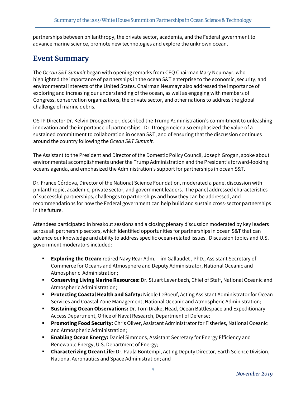partnerships between philanthropy, the private sector, academia, and the Federal government to advance marine science, promote new technologies and explore the unknown ocean.

### **Event Summary**

The *Ocean S&T Summit* began with opening remarks from CEQ Chairman Mary Neumayr, who highlighted the importance of partnerships in the ocean S&T enterprise to the economic, security, and environmental interests of the United States. Chairman Neumayr also addressed the importance of exploring and increasing our understanding of the ocean, as well as engaging with members of Congress, conservation organizations, the private sector, and other nations to address the global challenge of marine debris.

OSTP Director Dr. Kelvin Droegemeier, described the Trump Administration's commitment to unleashing innovation and the importance of partnerships. Dr. Droegemeier also emphasized the value of a sustained commitment to collaboration in ocean S&T, and of ensuring that the discussion continues around the country following the *Ocean S&T Summit.*

The Assistant to the President and Director of the Domestic Policy Council, Joseph Grogan, spoke about environmental accomplishments under the Trump Administration and the President's forward-looking oceans agenda, and emphasized the Administration's support for partnerships in ocean S&T.

Dr. France Córdova, Director of the National Science Foundation, moderated a panel discussion with philanthropic, academic, private sector, and government leaders. The panel addressed characteristics of successful partnerships, challenges to partnerships and how they can be addressed, and recommendations for how the Federal government can help build and sustain cross-sector partnerships in the future.

Attendees participated in breakout sessions and a closing plenary discussion moderated by key leaders across all partnership sectors, which identified opportunities for partnerships in ocean S&T that can advance our knowledge and ability to address specific ocean-related issues. Discussion topics and U.S. government moderators included:

- **Exploring the Ocean:** retired Navy Rear Adm. Tim Gallaudet , PhD., Assistant Secretary of Commerce for Oceans and Atmosphere and Deputy Administrator, National Oceanic and Atmospheric Administration;
- **Conserving Living Marine Resources:** Dr. Stuart Levenbach, Chief of Staff, National Oceanic and Atmospheric Administration;
- **Protecting Coastal Health and Safety:** Nicole LeBoeuf, Acting Assistant Administrator for Ocean Services and Coastal Zone Management, National Oceanic and Atmospheric Administration;
- **Sustaining Ocean Observations:** Dr. Tom Drake, Head, Ocean Battlespace and Expeditionary Access Department, Office of Naval Research, Department of Defense;
- **Promoting Food Security:** Chris Oliver, Assistant Administrator for Fisheries, National Oceanic and Atmospheric Administration;
- **Enabling Ocean Energy:** Daniel Simmons, Assistant Secretary for Energy Efficiency and Renewable Energy, U.S. Department of Energy;
- **Characterizing Ocean Life:** Dr. Paula Bontempi, Acting Deputy Director, Earth Science Division, National Aeronautics and Space Administration; and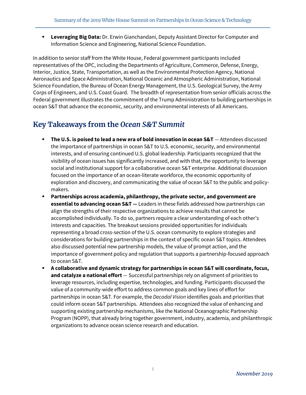**Leveraging Big Data:** Dr. Erwin Gianchandani, Deputy Assistant Director for Computer and Information Science and Engineering, National Science Foundation.

In addition to senior staff from the White House, Federal government participants included representatives of the OPC, including the Departments of Agriculture, Commerce, Defense, Energy, Interior, Justice, State, Transportation, as well as the Environmental Protection Agency, National Aeronautics and Space Administration, National Oceanic and Atmospheric Administration, National Science Foundation, the Bureau of Ocean Energy Management, the U.S. Geological Survey, the Army Corps of Engineers, and U.S. Coast Guard. The breadth of representation from senior officials across the Federal government illustrates the commitment of the Trump Administration to building partnerships in ocean S&T that advance the economic, security, and environmental interests of all Americans.

## **Key Takeaways from the** *Ocean S&T Summit*

- **The U.S. is poised to lead a new era of bold innovation in ocean S&T** Attendees discussed the importance of partnerships in ocean S&T to U.S. economic, security, and environmental interests, and of ensuring continued U.S. global leadership. Participants recognized that the visibility of ocean issues has significantly increased, and with that, the opportunity to leverage social and institutional support for a collaborative ocean S&T enterprise. Additional discussion focused on the importance of an ocean-literate workforce, the economic opportunity of exploration and discovery, and communicating the value of ocean S&T to the public and policymakers.
- **Partnerships across academia, philanthropy, the private sector, and government are essential to advancing ocean S&T —** Leaders in these fields addressed how partnerships can align the strengths of their respective organizations to achieve results that cannot be accomplished individually. To do so, partners require a clear understanding of each other's interests and capacities. The breakout sessions provided opportunities for individuals representing a broad cross-section of the U.S. ocean community to explore strategies and considerations for building partnerships in the context of specific ocean S&T topics. Attendees also discussed potential new partnership models, the value of prompt action, and the importance of government policy and regulation that supports a partnership-focused approach to ocean S&T.
- **A collaborative and dynamic strategy for partnerships in ocean S&T will coordinate, focus, and catalyze a national effort** — Successful partnerships rely on alignment of priorities to leverage resources, including expertise, technologies, and funding. Participants discussed the value of a community-wide effort to address common goals and key lines of effort for partnerships in ocean S&T. For example, the *Decadal Vision* identifies goals and priorities that could inform ocean S&T partnerships. Attendees also recognized the value of enhancing and supporting existing partnership mechanisms, like the National Oceanographic Partnership Program (NOPP), that already bring together government, industry, academia, and philanthropic organizations to advance ocean science research and education.